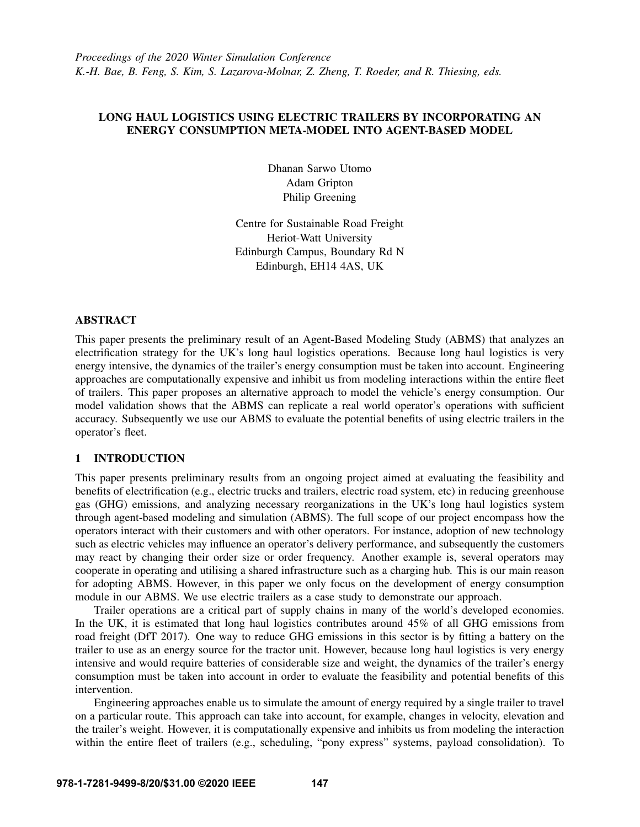# LONG HAUL LOGISTICS USING ELECTRIC TRAILERS BY INCORPORATING AN ENERGY CONSUMPTION META-MODEL INTO AGENT-BASED MODEL

Dhanan Sarwo Utomo Adam Gripton Philip Greening

Centre for Sustainable Road Freight Heriot-Watt University Edinburgh Campus, Boundary Rd N Edinburgh, EH14 4AS, UK

### ABSTRACT

This paper presents the preliminary result of an Agent-Based Modeling Study (ABMS) that analyzes an electrification strategy for the UK's long haul logistics operations. Because long haul logistics is very energy intensive, the dynamics of the trailer's energy consumption must be taken into account. Engineering approaches are computationally expensive and inhibit us from modeling interactions within the entire fleet of trailers. This paper proposes an alternative approach to model the vehicle's energy consumption. Our model validation shows that the ABMS can replicate a real world operator's operations with sufficient accuracy. Subsequently we use our ABMS to evaluate the potential benefits of using electric trailers in the operator's fleet.

### 1 INTRODUCTION

This paper presents preliminary results from an ongoing project aimed at evaluating the feasibility and benefits of electrification (e.g., electric trucks and trailers, electric road system, etc) in reducing greenhouse gas (GHG) emissions, and analyzing necessary reorganizations in the UK's long haul logistics system through agent-based modeling and simulation (ABMS). The full scope of our project encompass how the operators interact with their customers and with other operators. For instance, adoption of new technology such as electric vehicles may influence an operator's delivery performance, and subsequently the customers may react by changing their order size or order frequency. Another example is, several operators may cooperate in operating and utilising a shared infrastructure such as a charging hub. This is our main reason for adopting ABMS. However, in this paper we only focus on the development of energy consumption module in our ABMS. We use electric trailers as a case study to demonstrate our approach.

Trailer operations are a critical part of supply chains in many of the world's developed economies. In the UK, it is estimated that long haul logistics contributes around 45% of all GHG emissions from road freight [\(DfT 2017\)](#page-10-0). One way to reduce GHG emissions in this sector is by fitting a battery on the trailer to use as an energy source for the tractor unit. However, because long haul logistics is very energy intensive and would require batteries of considerable size and weight, the dynamics of the trailer's energy consumption must be taken into account in order to evaluate the feasibility and potential benefits of this intervention.

Engineering approaches enable us to simulate the amount of energy required by a single trailer to travel on a particular route. This approach can take into account, for example, changes in velocity, elevation and the trailer's weight. However, it is computationally expensive and inhibits us from modeling the interaction within the entire fleet of trailers (e.g., scheduling, "pony express" systems, payload consolidation). To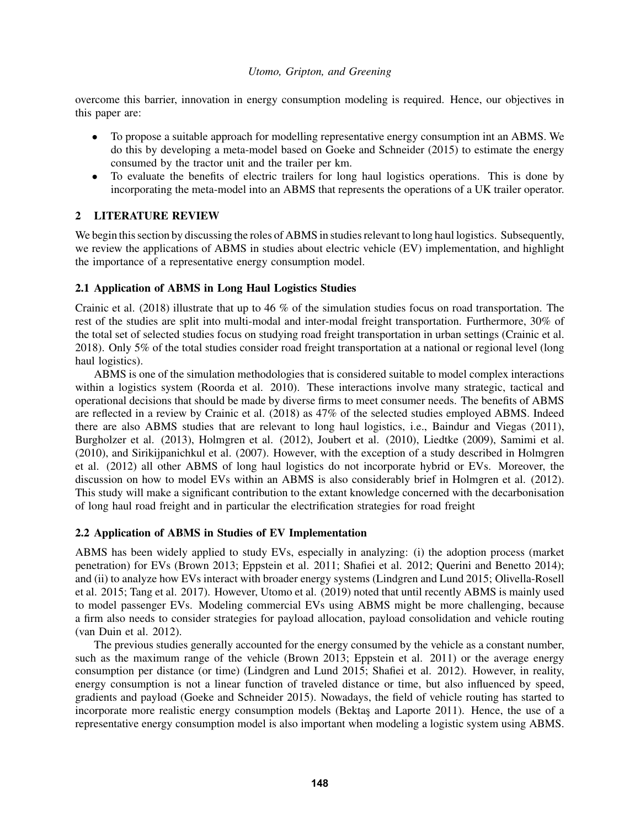overcome this barrier, innovation in energy consumption modeling is required. Hence, our objectives in this paper are:

- To propose a suitable approach for modelling representative energy consumption int an ABMS. We do this by developing a meta-model based on [Goeke and Schneider \(2015\)](#page-10-1) to estimate the energy consumed by the tractor unit and the trailer per km.
- To evaluate the benefits of electric trailers for long haul logistics operations. This is done by incorporating the meta-model into an ABMS that represents the operations of a UK trailer operator.

# 2 LITERATURE REVIEW

We begin this section by discussing the roles of ABMS in studies relevant to long haul logistics. Subsequently, we review the applications of ABMS in studies about electric vehicle (EV) implementation, and highlight the importance of a representative energy consumption model.

# 2.1 Application of ABMS in Long Haul Logistics Studies

[Crainic et al. \(2018\)](#page-10-2) illustrate that up to 46 % of the simulation studies focus on road transportation. The rest of the studies are split into multi-modal and inter-modal freight transportation. Furthermore, 30% of the total set of selected studies focus on studying road freight transportation in urban settings [\(Crainic et al.](#page-10-2) [2018\)](#page-10-2). Only 5% of the total studies consider road freight transportation at a national or regional level (long haul logistics).

ABMS is one of the simulation methodologies that is considered suitable to model complex interactions within a logistics system [\(Roorda et al. 2010\)](#page-11-0). These interactions involve many strategic, tactical and operational decisions that should be made by diverse firms to meet consumer needs. The benefits of ABMS are reflected in a review by [Crainic et al. \(2018\)](#page-10-2) as 47% of the selected studies employed ABMS. Indeed there are also ABMS studies that are relevant to long haul logistics, i.e., [Baindur and Viegas \(2011\),](#page-10-3) [Burgholzer et al. \(2013\),](#page-10-4) [Holmgren et al. \(2012\),](#page-10-5) [Joubert et al. \(2010\),](#page-10-6) [Liedtke \(2009\),](#page-10-7) [Samimi et al.](#page-11-1) [\(2010\),](#page-11-1) and [Sirikijpanichkul et al. \(2007\).](#page-11-2) However, with the exception of a study described in [Holmgren](#page-10-5) [et al. \(2012\)](#page-10-5) all other ABMS of long haul logistics do not incorporate hybrid or EVs. Moreover, the discussion on how to model EVs within an ABMS is also considerably brief in [Holmgren et al. \(2012\).](#page-10-5) This study will make a significant contribution to the extant knowledge concerned with the decarbonisation of long haul road freight and in particular the electrification strategies for road freight

### 2.2 Application of ABMS in Studies of EV Implementation

ABMS has been widely applied to study EVs, especially in analyzing: (i) the adoption process (market penetration) for EVs [\(Brown 2013;](#page-10-8) [Eppstein et al. 2011;](#page-10-9) [Shafiei et al. 2012;](#page-11-3) [Querini and Benetto 2014\)](#page-11-4); and (ii) to analyze how EVs interact with broader energy systems [\(Lindgren and Lund 2015;](#page-11-5) [Olivella-Rosell](#page-11-6) [et al. 2015;](#page-11-6) [Tang et al. 2017\)](#page-11-7). However, [Utomo et al. \(2019\)](#page-11-8) noted that until recently ABMS is mainly used to model passenger EVs. Modeling commercial EVs using ABMS might be more challenging, because a firm also needs to consider strategies for payload allocation, payload consolidation and vehicle routing [\(van Duin et al. 2012\)](#page-11-9).

The previous studies generally accounted for the energy consumed by the vehicle as a constant number, such as the maximum range of the vehicle [\(Brown 2013;](#page-10-8) [Eppstein et al. 2011\)](#page-10-9) or the average energy consumption per distance (or time) [\(Lindgren and Lund 2015;](#page-11-5) [Shafiei et al. 2012\)](#page-11-3). However, in reality, energy consumption is not a linear function of traveled distance or time, but also influenced by speed, gradients and payload [\(Goeke and Schneider 2015\)](#page-10-1). Nowadays, the field of vehicle routing has started to incorporate more realistic energy consumption models (Bektas and Laporte 2011). Hence, the use of a representative energy consumption model is also important when modeling a logistic system using ABMS.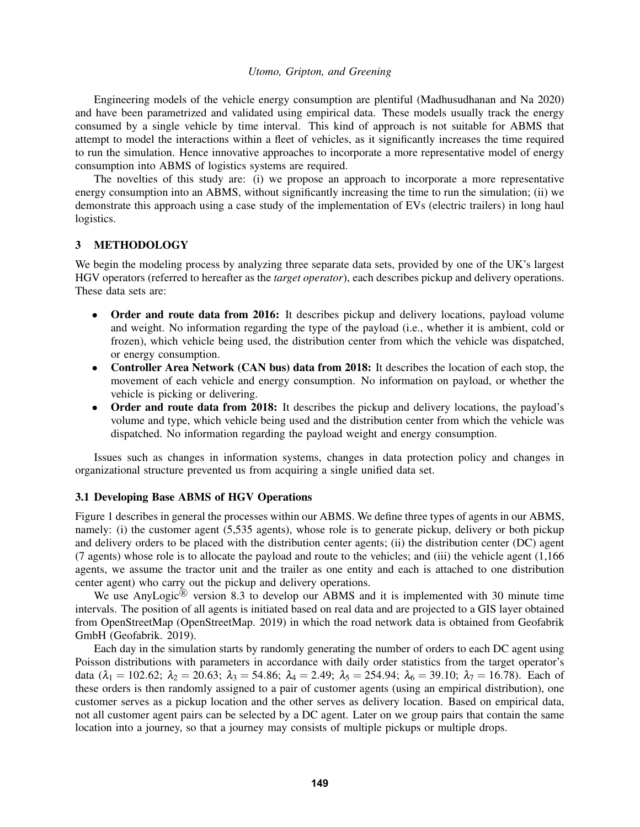Engineering models of the vehicle energy consumption are plentiful [\(Madhusudhanan and Na 2020\)](#page-11-10) and have been parametrized and validated using empirical data. These models usually track the energy consumed by a single vehicle by time interval. This kind of approach is not suitable for ABMS that attempt to model the interactions within a fleet of vehicles, as it significantly increases the time required to run the simulation. Hence innovative approaches to incorporate a more representative model of energy consumption into ABMS of logistics systems are required.

The novelties of this study are: (i) we propose an approach to incorporate a more representative energy consumption into an ABMS, without significantly increasing the time to run the simulation; (ii) we demonstrate this approach using a case study of the implementation of EVs (electric trailers) in long haul logistics.

### <span id="page-2-0"></span>3 METHODOLOGY

We begin the modeling process by analyzing three separate data sets, provided by one of the UK's largest HGV operators (referred to hereafter as the *target operator*), each describes pickup and delivery operations. These data sets are:

- Order and route data from 2016: It describes pickup and delivery locations, payload volume and weight. No information regarding the type of the payload (i.e., whether it is ambient, cold or frozen), which vehicle being used, the distribution center from which the vehicle was dispatched, or energy consumption.
- Controller Area Network (CAN bus) data from 2018: It describes the location of each stop, the movement of each vehicle and energy consumption. No information on payload, or whether the vehicle is picking or delivering.
- Order and route data from 2018: It describes the pickup and delivery locations, the payload's volume and type, which vehicle being used and the distribution center from which the vehicle was dispatched. No information regarding the payload weight and energy consumption.

Issues such as changes in information systems, changes in data protection policy and changes in organizational structure prevented us from acquiring a single unified data set.

### 3.1 Developing Base ABMS of HGV Operations

[Figure 1](#page-3-0) describes in general the processes within our ABMS. We define three types of agents in our ABMS, namely: (i) the customer agent (5,535 agents), whose role is to generate pickup, delivery or both pickup and delivery orders to be placed with the distribution center agents; (ii) the distribution center (DC) agent (7 agents) whose role is to allocate the payload and route to the vehicles; and (iii) the vehicle agent (1,166 agents, we assume the tractor unit and the trailer as one entity and each is attached to one distribution center agent) who carry out the pickup and delivery operations.

We use AnyLogic $\mathbb{\overline{B}}$  version 8.3 to develop our ABMS and it is implemented with 30 minute time intervals. The position of all agents is initiated based on real data and are projected to a GIS layer obtained from OpenStreetMap [\(OpenStreetMap. 2019\)](#page-11-11) in which the road network data is obtained from Geofabrik GmbH [\(Geofabrik. 2019\)](#page-10-11).

Each day in the simulation starts by randomly generating the number of orders to each DC agent using Poisson distributions with parameters in accordance with daily order statistics from the target operator's data ( $\lambda_1 = 102.62$ ;  $\lambda_2 = 20.63$ ;  $\lambda_3 = 54.86$ ;  $\lambda_4 = 2.49$ ;  $\lambda_5 = 254.94$ ;  $\lambda_6 = 39.10$ ;  $\lambda_7 = 16.78$ ). Each of these orders is then randomly assigned to a pair of customer agents (using an empirical distribution), one customer serves as a pickup location and the other serves as delivery location. Based on empirical data, not all customer agent pairs can be selected by a DC agent. Later on we group pairs that contain the same location into a journey, so that a journey may consists of multiple pickups or multiple drops.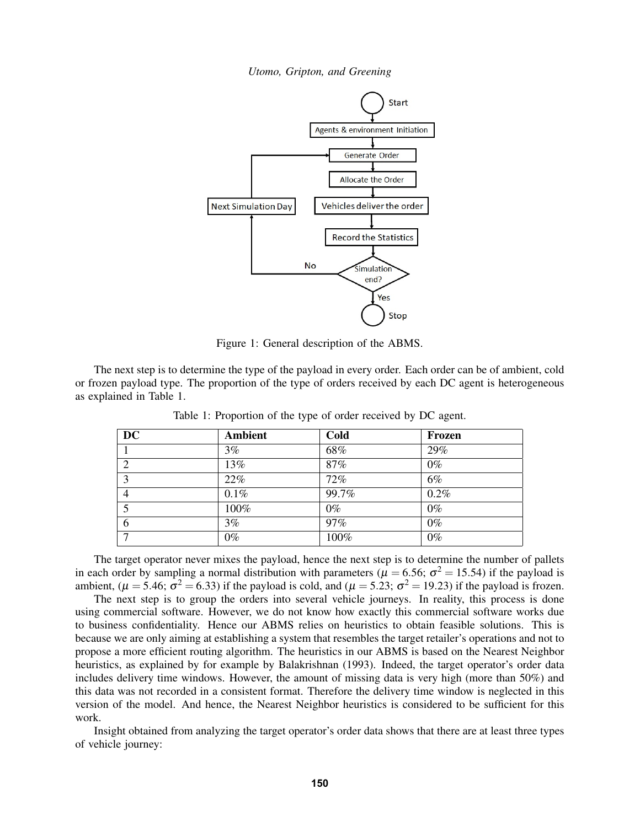

<span id="page-3-0"></span>Figure 1: General description of the ABMS.

The next step is to determine the type of the payload in every order. Each order can be of ambient, cold or frozen payload type. The proportion of the type of orders received by each DC agent is heterogeneous as explained in [Table 1.](#page-3-1)

| <b>DC</b>      | <b>Ambient</b> | Cold  | Frozen |
|----------------|----------------|-------|--------|
|                | 3%             | 68%   | 29%    |
| $\overline{2}$ | 13%            | 87%   | $0\%$  |
| 3              | 22%            | 72%   | 6%     |
| $\overline{4}$ | 0.1%           | 99.7% | 0.2%   |
|                | 100%           | $0\%$ | $0\%$  |
| 6              | 3%             | 97%   | $0\%$  |
| $\mathbf{r}$   | $0\%$          | 100%  | $0\%$  |

<span id="page-3-1"></span>Table 1: Proportion of the type of order received by DC agent.

The target operator never mixes the payload, hence the next step is to determine the number of pallets in each order by sampling a normal distribution with parameters ( $\mu$  = 6.56;  $\sigma^2$  = 15.54) if the payload is ambient, ( $\mu = 5.46$ ;  $\sigma^2 = 6.33$ ) if the payload is cold, and ( $\mu = 5.23$ ;  $\sigma^2 = 19.23$ ) if the payload is frozen.

The next step is to group the orders into several vehicle journeys. In reality, this process is done using commercial software. However, we do not know how exactly this commercial software works due to business confidentiality. Hence our ABMS relies on heuristics to obtain feasible solutions. This is because we are only aiming at establishing a system that resembles the target retailer's operations and not to propose a more efficient routing algorithm. The heuristics in our ABMS is based on the Nearest Neighbor heuristics, as explained by for example by [Balakrishnan \(1993\).](#page-10-12) Indeed, the target operator's order data includes delivery time windows. However, the amount of missing data is very high (more than 50%) and this data was not recorded in a consistent format. Therefore the delivery time window is neglected in this version of the model. And hence, the Nearest Neighbor heuristics is considered to be sufficient for this work.

Insight obtained from analyzing the target operator's order data shows that there are at least three types of vehicle journey: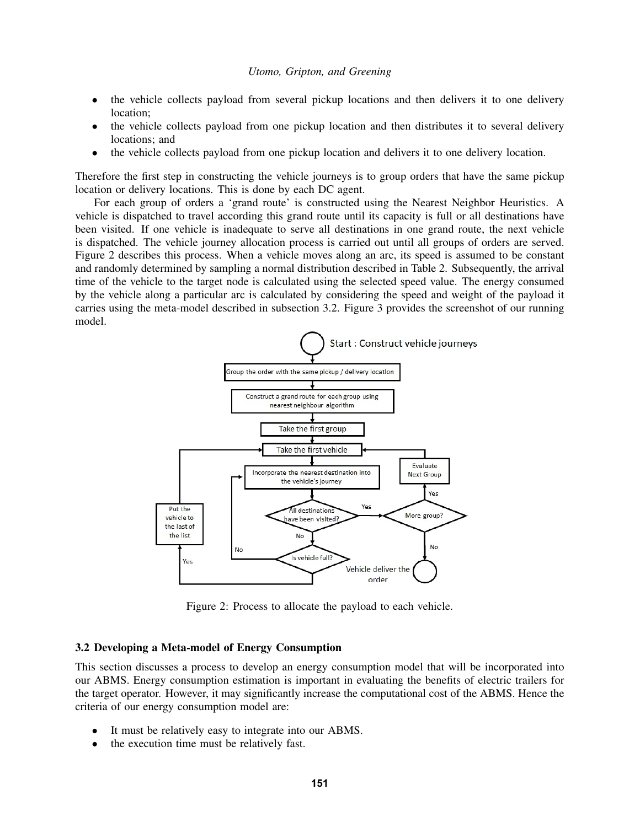- the vehicle collects payload from several pickup locations and then delivers it to one delivery location;
- the vehicle collects payload from one pickup location and then distributes it to several delivery locations; and
- the vehicle collects payload from one pickup location and delivers it to one delivery location.

Therefore the first step in constructing the vehicle journeys is to group orders that have the same pickup location or delivery locations. This is done by each DC agent.

For each group of orders a 'grand route' is constructed using the Nearest Neighbor Heuristics. A vehicle is dispatched to travel according this grand route until its capacity is full or all destinations have been visited. If one vehicle is inadequate to serve all destinations in one grand route, the next vehicle is dispatched. The vehicle journey allocation process is carried out until all groups of orders are served. [Figure 2](#page-4-0) describes this process. When a vehicle moves along an arc, its speed is assumed to be constant and randomly determined by sampling a normal distribution described in [Table 2.](#page-6-0) Subsequently, the arrival time of the vehicle to the target node is calculated using the selected speed value. The energy consumed by the vehicle along a particular arc is calculated by considering the speed and weight of the payload it carries using the meta-model described in [subsection 3.2.](#page-4-1) [Figure 3](#page-5-0) provides the screenshot of our running model.



<span id="page-4-0"></span>Figure 2: Process to allocate the payload to each vehicle.

### <span id="page-4-1"></span>3.2 Developing a Meta-model of Energy Consumption

This section discusses a process to develop an energy consumption model that will be incorporated into our ABMS. Energy consumption estimation is important in evaluating the benefits of electric trailers for the target operator. However, it may significantly increase the computational cost of the ABMS. Hence the criteria of our energy consumption model are:

- It must be relatively easy to integrate into our ABMS.
- the execution time must be relatively fast.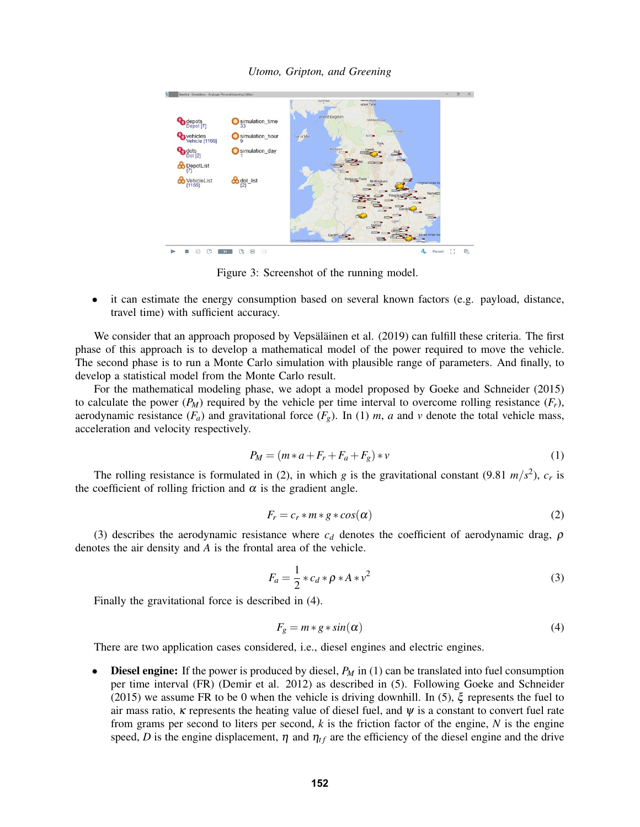

*Utomo, Gripton, and Greening*

<span id="page-5-0"></span>Figure 3: Screenshot of the running model.

• it can estimate the energy consumption based on several known factors (e.g. payload, distance, travel time) with sufficient accuracy.

We consider that an approach proposed by Vepsäläinen et al. (2019) can fulfill these criteria. The first phase of this approach is to develop a mathematical model of the power required to move the vehicle. The second phase is to run a Monte Carlo simulation with plausible range of parameters. And finally, to develop a statistical model from the Monte Carlo result.

For the mathematical modeling phase, we adopt a model proposed by [Goeke and Schneider \(2015\)](#page-10-1) to calculate the power  $(P_M)$  required by the vehicle per time interval to overcome rolling resistance  $(F_r)$ , aerodynamic resistance  $(F_a)$  and gravitational force  $(F_g)$ . In [\(1\)](#page-5-1) *m*, *a* and *v* denote the total vehicle mass, acceleration and velocity respectively.

<span id="page-5-1"></span>
$$
P_M = (m \ast a + F_r + F_a + F_g) \ast v \tag{1}
$$

The rolling resistance is formulated in [\(2\)](#page-5-2), in which *g* is the gravitational constant (9.81  $m/s^2$ ),  $c_r$  is the coefficient of rolling friction and  $\alpha$  is the gradient angle.

<span id="page-5-2"></span>
$$
F_r = c_r * m * g * cos(\alpha)
$$
 (2)

[\(3\)](#page-5-3) describes the aerodynamic resistance where  $c_d$  denotes the coefficient of aerodynamic drag,  $\rho$ denotes the air density and *A* is the frontal area of the vehicle.

<span id="page-5-3"></span>
$$
F_a = \frac{1}{2} \cdot c_d \cdot \rho \cdot A \cdot v^2 \tag{3}
$$

Finally the gravitational force is described in [\(4\)](#page-5-4).

<span id="page-5-4"></span>
$$
F_g = m * g * sin(\alpha) \tag{4}
$$

There are two application cases considered, i.e., diesel engines and electric engines.

**Diesel engine:** If the power is produced by diesel,  $P_M$  in [\(1\)](#page-5-1) can be translated into fuel consumption per time interval (FR) [\(Demir et al. 2012\)](#page-10-13) as described in [\(5\)](#page-6-1). Following [Goeke and Schneider](#page-10-1) [\(2015\)](#page-10-1) we assume FR to be 0 when the vehicle is driving downhill. In [\(5\)](#page-6-1),  $\xi$  represents the fuel to air mass ratio,  $\kappa$  represents the heating value of diesel fuel, and  $\psi$  is a constant to convert fuel rate from grams per second to liters per second, *k* is the friction factor of the engine, *N* is the engine speed, *D* is the engine displacement,  $\eta$  and  $\eta_{tf}$  are the efficiency of the diesel engine and the drive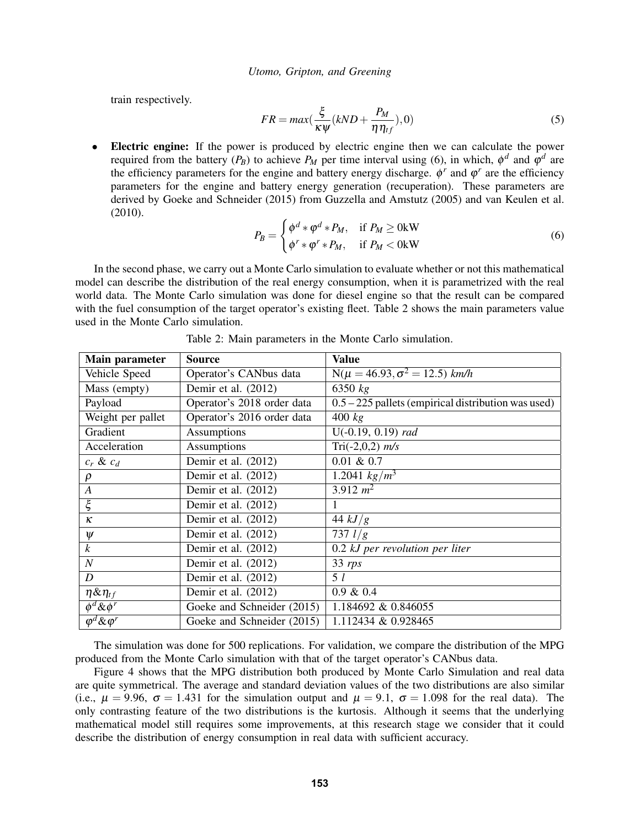train respectively.

<span id="page-6-1"></span>
$$
FR = max(\frac{\xi}{\kappa \psi}(kND + \frac{P_M}{\eta \eta_{tf}}), 0)
$$
\n(5)

Electric engine: If the power is produced by electric engine then we can calculate the power required from the battery  $(P_B)$  to achieve  $P_M$  per time interval using [\(6\)](#page-6-2), in which,  $\phi^d$  and  $\phi^d$  are the efficiency parameters for the engine and battery energy discharge.  $\phi^r$  and  $\phi^r$  are the efficiency parameters for the engine and battery energy generation (recuperation). These parameters are derived by [Goeke and Schneider \(2015\)](#page-10-1) from [Guzzella and Amstutz \(2005\)](#page-10-14) and [van Keulen et al.](#page-11-13) [\(2010\).](#page-11-13)

<span id="page-6-2"></span>
$$
P_B = \begin{cases} \phi^d * \phi^d * P_M, & \text{if } P_M \ge 0 \text{kW} \\ \phi^r * \phi^r * P_M, & \text{if } P_M < 0 \text{kW} \end{cases}
$$
 (6)

In the second phase, we carry out a Monte Carlo simulation to evaluate whether or not this mathematical model can describe the distribution of the real energy consumption, when it is parametrized with the real world data. The Monte Carlo simulation was done for diesel engine so that the result can be compared with the fuel consumption of the target operator's existing fleet. [Table 2](#page-6-0) shows the main parameters value used in the Monte Carlo simulation.

| Main parameter                | <b>Source</b>              | <b>Value</b>                                          |
|-------------------------------|----------------------------|-------------------------------------------------------|
| Vehicle Speed                 | Operator's CANbus data     | $N(\mu = 46.93, \sigma^2 = 12.5)$ km/h                |
| Mass (empty)                  | Demir et al. (2012)        | $6350$ $kg$                                           |
| Payload                       | Operator's 2018 order data | $0.5 - 225$ pallets (empirical distribution was used) |
| Weight per pallet             | Operator's 2016 order data | 400 kg                                                |
| Gradient                      | <b>Assumptions</b>         | $U(-0.19, 0.19)$ rad                                  |
| Acceleration                  | Assumptions                | Tri(-2,0,2) $m/s$                                     |
| $c_r$ & $c_d$                 | Demir et al. (2012)        | $0.01 \& 0.7$                                         |
| $\rho$                        | Demir et al. (2012)        | 1.2041 $kg/m^3$                                       |
| $\boldsymbol{A}$              | Demir et al. (2012)        | $3.912 \; m^2$                                        |
| $\overline{\xi}$              | Demir et al. (2012)        | 1                                                     |
| $\kappa$                      | Demir et al. (2012)        | $\overline{44}$ $kJ/g$                                |
| $\psi$                        | Demir et al. (2012)        | 737 $l/g$                                             |
| $\boldsymbol{k}$              | Demir et al. $(2012)$      | $0.2$ kJ per revolution per liter                     |
| $\overline{N}$                | Demir et al. (2012)        | $33$ rps                                              |
| D                             | Demir et al. (2012)        | 5 <sub>l</sub>                                        |
| $\eta \& \eta_{tf}$           | Demir et al. (2012)        | $0.9 \& 0.4$                                          |
| $\overline{\phi}^d \& \phi^r$ | Goeke and Schneider (2015) | 1.184692 & 0.846055                                   |
| $\varphi^d \& \varphi^r$      | Goeke and Schneider (2015) | 1.112434 & 0.928465                                   |

<span id="page-6-0"></span>Table 2: Main parameters in the Monte Carlo simulation.

The simulation was done for 500 replications. For validation, we compare the distribution of the MPG produced from the Monte Carlo simulation with that of the target operator's CANbus data.

[Figure 4](#page-7-0) shows that the MPG distribution both produced by Monte Carlo Simulation and real data are quite symmetrical. The average and standard deviation values of the two distributions are also similar (i.e.,  $\mu = 9.96$ ,  $\sigma = 1.431$  for the simulation output and  $\mu = 9.1$ ,  $\sigma = 1.098$  for the real data). The only contrasting feature of the two distributions is the kurtosis. Although it seems that the underlying mathematical model still requires some improvements, at this research stage we consider that it could describe the distribution of energy consumption in real data with sufficient accuracy.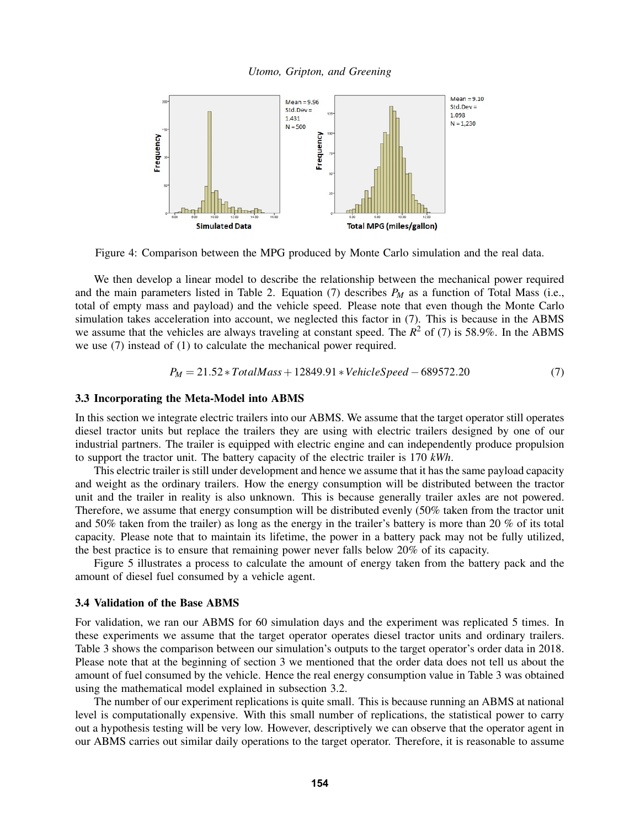*Utomo, Gripton, and Greening*



<span id="page-7-0"></span>Figure 4: Comparison between the MPG produced by Monte Carlo simulation and the real data.

We then develop a linear model to describe the relationship between the mechanical power required and the main parameters listed in [Table 2.](#page-6-0) Equation [\(7\)](#page-7-1) describes *P<sup>M</sup>* as a function of Total Mass (i.e., total of empty mass and payload) and the vehicle speed. Please note that even though the Monte Carlo simulation takes acceleration into account, we neglected this factor in [\(7\)](#page-7-1). This is because in the ABMS we assume that the vehicles are always traveling at constant speed. The  $R^2$  of [\(7\)](#page-7-1) is 58.9%. In the ABMS we use [\(7\)](#page-7-1) instead of [\(1\)](#page-5-1) to calculate the mechanical power required.

<span id="page-7-1"></span>
$$
P_M = 21.52 * Total Mass + 12849.91 * Vehicle Speed - 689572.20 \tag{7}
$$

### 3.3 Incorporating the Meta-Model into ABMS

In this section we integrate electric trailers into our ABMS. We assume that the target operator still operates diesel tractor units but replace the trailers they are using with electric trailers designed by one of our industrial partners. The trailer is equipped with electric engine and can independently produce propulsion to support the tractor unit. The battery capacity of the electric trailer is 170 *kWh*.

This electric trailer is still under development and hence we assume that it has the same payload capacity and weight as the ordinary trailers. How the energy consumption will be distributed between the tractor unit and the trailer in reality is also unknown. This is because generally trailer axles are not powered. Therefore, we assume that energy consumption will be distributed evenly (50% taken from the tractor unit and 50% taken from the trailer) as long as the energy in the trailer's battery is more than 20 % of its total capacity. Please note that to maintain its lifetime, the power in a battery pack may not be fully utilized, the best practice is to ensure that remaining power never falls below 20% of its capacity.

[Figure 5](#page-8-0) illustrates a process to calculate the amount of energy taken from the battery pack and the amount of diesel fuel consumed by a vehicle agent.

### 3.4 Validation of the Base ABMS

For validation, we ran our ABMS for 60 simulation days and the experiment was replicated 5 times. In these experiments we assume that the target operator operates diesel tractor units and ordinary trailers. [Table 3](#page-8-1) shows the comparison between our simulation's outputs to the target operator's order data in 2018. Please note that at the beginning of [section 3](#page-2-0) we mentioned that the order data does not tell us about the amount of fuel consumed by the vehicle. Hence the real energy consumption value in [Table 3](#page-8-1) was obtained using the mathematical model explained in [subsection 3.2.](#page-4-1)

The number of our experiment replications is quite small. This is because running an ABMS at national level is computationally expensive. With this small number of replications, the statistical power to carry out a hypothesis testing will be very low. However, descriptively we can observe that the operator agent in our ABMS carries out similar daily operations to the target operator. Therefore, it is reasonable to assume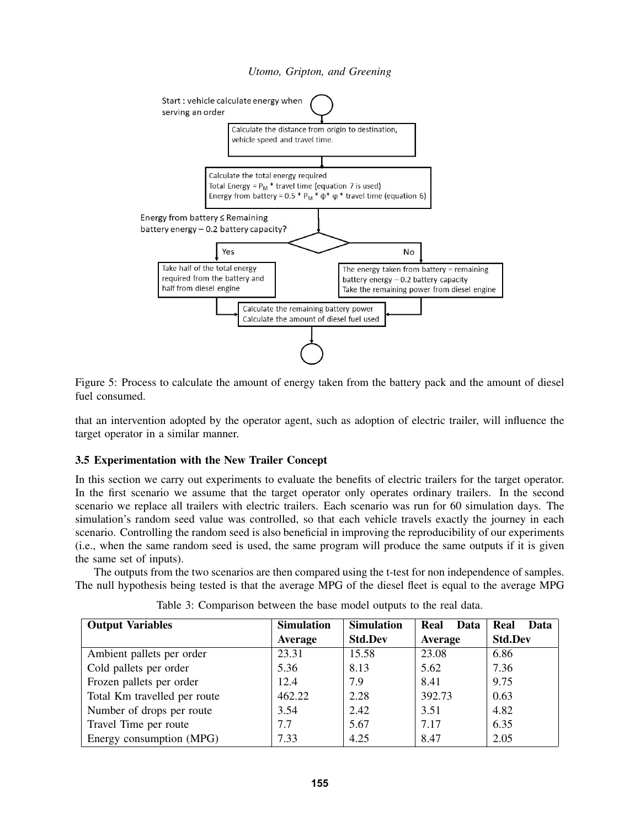

<span id="page-8-0"></span>Figure 5: Process to calculate the amount of energy taken from the battery pack and the amount of diesel fuel consumed.

that an intervention adopted by the operator agent, such as adoption of electric trailer, will influence the target operator in a similar manner.

### 3.5 Experimentation with the New Trailer Concept

In this section we carry out experiments to evaluate the benefits of electric trailers for the target operator. In the first scenario we assume that the target operator only operates ordinary trailers. In the second scenario we replace all trailers with electric trailers. Each scenario was run for 60 simulation days. The simulation's random seed value was controlled, so that each vehicle travels exactly the journey in each scenario. Controlling the random seed is also beneficial in improving the reproducibility of our experiments (i.e., when the same random seed is used, the same program will produce the same outputs if it is given the same set of inputs).

The outputs from the two scenarios are then compared using the t-test for non independence of samples. The null hypothesis being tested is that the average MPG of the diesel fleet is equal to the average MPG

| <b>Output Variables</b>      | <b>Simulation</b> | <b>Simulation</b> | Real<br><b>Data</b> | Real<br>Data   |
|------------------------------|-------------------|-------------------|---------------------|----------------|
|                              | Average           | <b>Std.Dev</b>    | Average             | <b>Std.Dev</b> |
| Ambient pallets per order    | 23.31             | 15.58             | 23.08               | 6.86           |
| Cold pallets per order       | 5.36              | 8.13              | 5.62                | 7.36           |
| Frozen pallets per order     | 12.4              | 7.9               | 8.41                | 9.75           |
| Total Km travelled per route | 462.22            | 2.28              | 392.73              | 0.63           |
| Number of drops per route    | 3.54              | 2.42              | 3.51                | 4.82           |
| Travel Time per route        | 7.7               | 5.67              | 7.17                | 6.35           |
| Energy consumption (MPG)     | 7.33              | 4.25              | 8.47                | 2.05           |

<span id="page-8-1"></span>Table 3: Comparison between the base model outputs to the real data.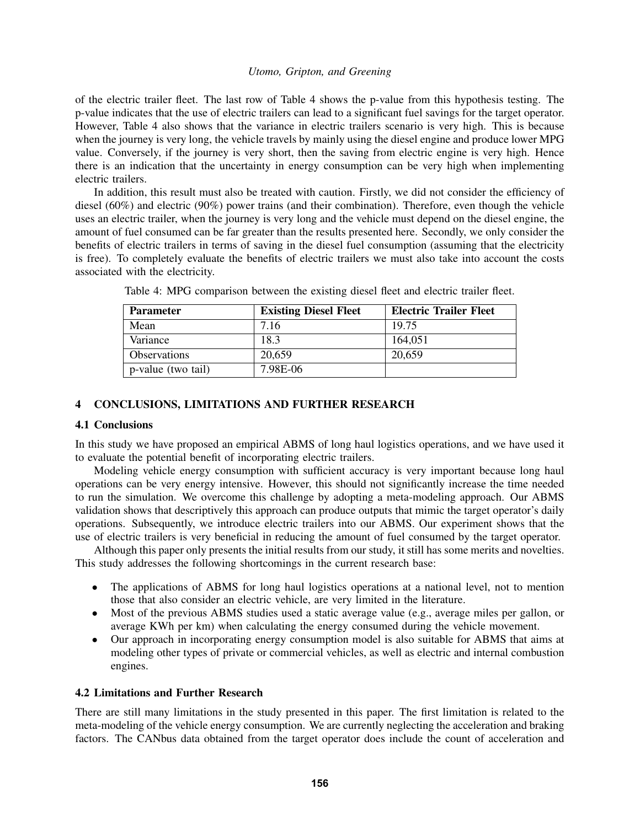of the electric trailer fleet. The last row of [Table 4](#page-9-0) shows the p-value from this hypothesis testing. The p-value indicates that the use of electric trailers can lead to a significant fuel savings for the target operator. However, [Table 4](#page-9-0) also shows that the variance in electric trailers scenario is very high. This is because when the journey is very long, the vehicle travels by mainly using the diesel engine and produce lower MPG value. Conversely, if the journey is very short, then the saving from electric engine is very high. Hence there is an indication that the uncertainty in energy consumption can be very high when implementing electric trailers.

In addition, this result must also be treated with caution. Firstly, we did not consider the efficiency of diesel (60%) and electric (90%) power trains (and their combination). Therefore, even though the vehicle uses an electric trailer, when the journey is very long and the vehicle must depend on the diesel engine, the amount of fuel consumed can be far greater than the results presented here. Secondly, we only consider the benefits of electric trailers in terms of saving in the diesel fuel consumption (assuming that the electricity is free). To completely evaluate the benefits of electric trailers we must also take into account the costs associated with the electricity.

| <b>Parameter</b>    | <b>Existing Diesel Fleet</b> | <b>Electric Trailer Fleet</b> |
|---------------------|------------------------------|-------------------------------|
| Mean                | 7.16                         | 19.75                         |
| Variance            | 18.3                         | 164,051                       |
| <b>Observations</b> | 20,659                       | 20,659                        |
| p-value (two tail)  | 7.98E-06                     |                               |

<span id="page-9-0"></span>Table 4: MPG comparison between the existing diesel fleet and electric trailer fleet.

# 4 CONCLUSIONS, LIMITATIONS AND FURTHER RESEARCH

# 4.1 Conclusions

In this study we have proposed an empirical ABMS of long haul logistics operations, and we have used it to evaluate the potential benefit of incorporating electric trailers.

Modeling vehicle energy consumption with sufficient accuracy is very important because long haul operations can be very energy intensive. However, this should not significantly increase the time needed to run the simulation. We overcome this challenge by adopting a meta-modeling approach. Our ABMS validation shows that descriptively this approach can produce outputs that mimic the target operator's daily operations. Subsequently, we introduce electric trailers into our ABMS. Our experiment shows that the use of electric trailers is very beneficial in reducing the amount of fuel consumed by the target operator.

Although this paper only presents the initial results from our study, it still has some merits and novelties. This study addresses the following shortcomings in the current research base:

- The applications of ABMS for long haul logistics operations at a national level, not to mention those that also consider an electric vehicle, are very limited in the literature.
- Most of the previous ABMS studies used a static average value (e.g., average miles per gallon, or average KWh per km) when calculating the energy consumed during the vehicle movement.
- Our approach in incorporating energy consumption model is also suitable for ABMS that aims at modeling other types of private or commercial vehicles, as well as electric and internal combustion engines.

# 4.2 Limitations and Further Research

There are still many limitations in the study presented in this paper. The first limitation is related to the meta-modeling of the vehicle energy consumption. We are currently neglecting the acceleration and braking factors. The CANbus data obtained from the target operator does include the count of acceleration and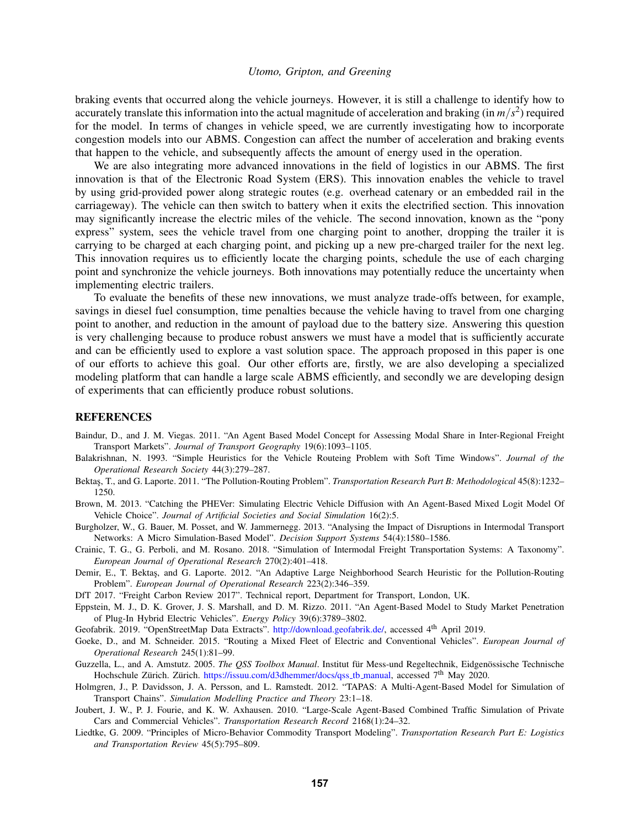braking events that occurred along the vehicle journeys. However, it is still a challenge to identify how to accurately translate this information into the actual magnitude of acceleration and braking (in  $m/s^2$ ) required for the model. In terms of changes in vehicle speed, we are currently investigating how to incorporate congestion models into our ABMS. Congestion can affect the number of acceleration and braking events that happen to the vehicle, and subsequently affects the amount of energy used in the operation.

We are also integrating more advanced innovations in the field of logistics in our ABMS. The first innovation is that of the Electronic Road System (ERS). This innovation enables the vehicle to travel by using grid-provided power along strategic routes (e.g. overhead catenary or an embedded rail in the carriageway). The vehicle can then switch to battery when it exits the electrified section. This innovation may significantly increase the electric miles of the vehicle. The second innovation, known as the "pony express" system, sees the vehicle travel from one charging point to another, dropping the trailer it is carrying to be charged at each charging point, and picking up a new pre-charged trailer for the next leg. This innovation requires us to efficiently locate the charging points, schedule the use of each charging point and synchronize the vehicle journeys. Both innovations may potentially reduce the uncertainty when implementing electric trailers.

To evaluate the benefits of these new innovations, we must analyze trade-offs between, for example, savings in diesel fuel consumption, time penalties because the vehicle having to travel from one charging point to another, and reduction in the amount of payload due to the battery size. Answering this question is very challenging because to produce robust answers we must have a model that is sufficiently accurate and can be efficiently used to explore a vast solution space. The approach proposed in this paper is one of our efforts to achieve this goal. Our other efforts are, firstly, we are also developing a specialized modeling platform that can handle a large scale ABMS efficiently, and secondly we are developing design of experiments that can efficiently produce robust solutions.

### **REFERENCES**

- <span id="page-10-3"></span>Baindur, D., and J. M. Viegas. 2011. "An Agent Based Model Concept for Assessing Modal Share in Inter-Regional Freight Transport Markets". *Journal of Transport Geography* 19(6):1093–1105.
- <span id="page-10-12"></span>Balakrishnan, N. 1993. "Simple Heuristics for the Vehicle Routeing Problem with Soft Time Windows". *Journal of the Operational Research Society* 44(3):279–287.
- <span id="page-10-10"></span>Bektaş, T., and G. Laporte. 2011. "The Pollution-Routing Problem". *Transportation Research Part B: Methodological* 45(8):1232– 1250.
- <span id="page-10-8"></span>Brown, M. 2013. "Catching the PHEVer: Simulating Electric Vehicle Diffusion with An Agent-Based Mixed Logit Model Of Vehicle Choice". *Journal of Artificial Societies and Social Simulation* 16(2):5.
- <span id="page-10-4"></span>Burgholzer, W., G. Bauer, M. Posset, and W. Jammernegg. 2013. "Analysing the Impact of Disruptions in Intermodal Transport Networks: A Micro Simulation-Based Model". *Decision Support Systems* 54(4):1580–1586.
- <span id="page-10-2"></span>Crainic, T. G., G. Perboli, and M. Rosano. 2018. "Simulation of Intermodal Freight Transportation Systems: A Taxonomy". *European Journal of Operational Research* 270(2):401–418.
- <span id="page-10-13"></span>Demir, E., T. Bektas, and G. Laporte. 2012. "An Adaptive Large Neighborhood Search Heuristic for the Pollution-Routing Problem". *European Journal of Operational Research* 223(2):346–359.
- <span id="page-10-0"></span>DfT 2017. "Freight Carbon Review 2017". Technical report, Department for Transport, London, UK.
- <span id="page-10-9"></span>Eppstein, M. J., D. K. Grover, J. S. Marshall, and D. M. Rizzo. 2011. "An Agent-Based Model to Study Market Penetration of Plug-In Hybrid Electric Vehicles". *Energy Policy* 39(6):3789–3802.
- <span id="page-10-11"></span>Geofabrik. 2019. "OpenStreetMap Data Extracts". [http://download.geofabrik.de/,](http://download.geofabrik.de/) accessed 4th April 2019.
- <span id="page-10-1"></span>Goeke, D., and M. Schneider. 2015. "Routing a Mixed Fleet of Electric and Conventional Vehicles". *European Journal of Operational Research* 245(1):81–99.
- <span id="page-10-14"></span>Guzzella, L., and A. Amstutz. 2005. *The QSS Toolbox Manual*. Institut für Mess-und Regeltechnik, Eidgenössische Technische Hochschule Zürich. Zürich. [https://issuu.com/d3dhemmer/docs/qss](https://issuu.com/d3dhemmer/docs/qss_tb_manual)\_tb\_manual, accessed  $7<sup>th</sup>$  May 2020.
- <span id="page-10-5"></span>Holmgren, J., P. Davidsson, J. A. Persson, and L. Ramstedt. 2012. "TAPAS: A Multi-Agent-Based Model for Simulation of Transport Chains". *Simulation Modelling Practice and Theory* 23:1–18.
- <span id="page-10-6"></span>Joubert, J. W., P. J. Fourie, and K. W. Axhausen. 2010. "Large-Scale Agent-Based Combined Traffic Simulation of Private Cars and Commercial Vehicles". *Transportation Research Record* 2168(1):24–32.
- <span id="page-10-7"></span>Liedtke, G. 2009. "Principles of Micro-Behavior Commodity Transport Modeling". *Transportation Research Part E: Logistics and Transportation Review* 45(5):795–809.